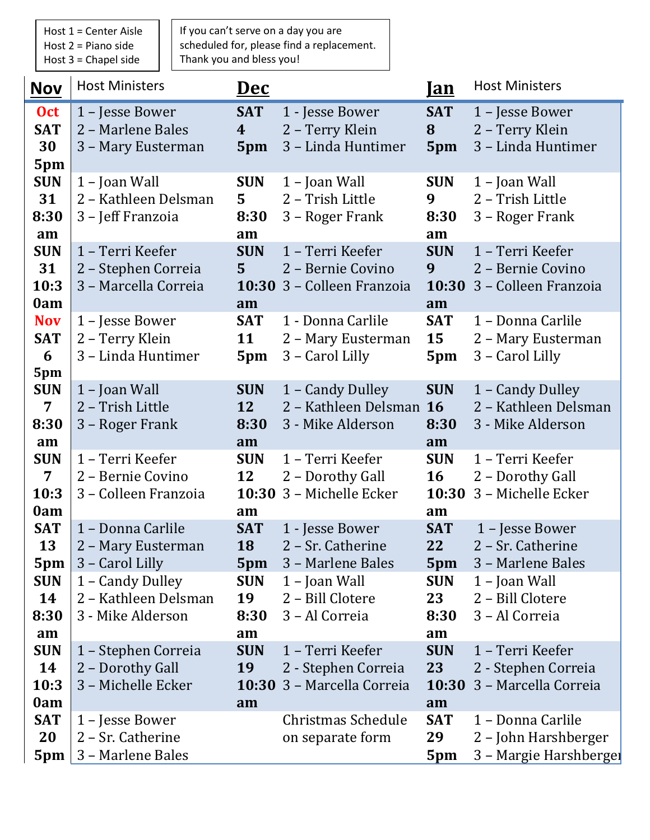Host 1 = Center Aisle Host 2 = Piano side Host 3 = Chapel side

If you can't serve on a day you are scheduled for, please find a replacement. Thank you and bless you!

| <b>Nov</b>                                  | <b>Host Ministers</b>                                                          | <u>Dec</u>                              |                                                                            | <u>Ian</u>                            | <b>Host Ministers</b>                                                      |
|---------------------------------------------|--------------------------------------------------------------------------------|-----------------------------------------|----------------------------------------------------------------------------|---------------------------------------|----------------------------------------------------------------------------|
| <b>Oct</b><br><b>SAT</b><br>30<br>5pm       | 1 – Jesse Bower<br>2 - Marlene Bales<br>3 - Mary Eusterman                     | <b>SAT</b><br>$\boldsymbol{4}$<br>5pm   | 1 - Jesse Bower<br>2 - Terry Klein<br>3 - Linda Huntimer                   | <b>SAT</b><br>8<br>5pm                | 1 - Jesse Bower<br>2 - Terry Klein<br>3 - Linda Huntimer                   |
| <b>SUN</b><br>31<br>8:30<br>am              | 1 - Joan Wall<br>2 - Kathleen Delsman<br>3 - Jeff Franzoia                     | <b>SUN</b><br>$5^{\circ}$<br>8:30<br>am | $1$ – Joan Wall<br>2 - Trish Little<br>3 – Roger Frank                     | <b>SUN</b><br>9<br>8:30<br>am         | $1$ – Joan Wall<br>2 - Trish Little<br>3 – Roger Frank                     |
| <b>SUN</b><br>31<br>10:3<br>0am             | 1 - Terri Keefer<br>2 - Stephen Correia<br>3 - Marcella Correia                | <b>SUN</b><br>5 <sup>1</sup><br>am      | 1 - Terri Keefer<br>2 - Bernie Covino<br>10:30 3 - Colleen Franzoia        | <b>SUN</b><br>9<br>10:30<br>am        | 1 - Terri Keefer<br>2 - Bernie Covino<br>3 - Colleen Franzoia              |
| <b>Nov</b><br><b>SAT</b><br>6<br>5pm        | 1 - Jesse Bower<br>2 - Terry Klein<br>3 - Linda Huntimer                       | <b>SAT</b><br>11<br>5pm                 | 1 - Donna Carlile<br>2 - Mary Eusterman<br>3 - Carol Lilly                 | <b>SAT</b><br>15<br>5pm               | 1 - Donna Carlile<br>2 - Mary Eusterman<br>3 - Carol Lilly                 |
| <b>SUN</b><br>$\overline{7}$<br>8:30<br>am  | 1 - Joan Wall<br>2 - Trish Little<br>3 – Roger Frank                           | <b>SUN</b><br><b>12</b><br>8:30<br>am   | 1 - Candy Dulley<br>2 - Kathleen Delsman<br>3 - Mike Alderson              | <b>SUN</b><br><b>16</b><br>8:30<br>am | 1 - Candy Dulley<br>2 - Kathleen Delsman<br>3 - Mike Alderson              |
| <b>SUN</b><br>$\overline{7}$<br>10:3<br>0am | 1 - Terri Keefer<br>2 - Bernie Covino<br>3 - Colleen Franzoia                  | <b>SUN</b><br>12<br>am                  | 1 - Terri Keefer<br>2 - Dorothy Gall<br>10:30 3 - Michelle Ecker           | <b>SUN</b><br>16<br>10:30<br>am       | 1 - Terri Keefer<br>2 - Dorothy Gall<br>3 - Michelle Ecker                 |
| <b>SAT</b><br>13<br>5pm<br><b>SUN</b>       | 1 - Donna Carlile<br>2 - Mary Eusterman<br>3 – Carol Lilly<br>1 – Candy Dulley | <b>SAT</b><br>18<br>5pm<br><b>SUN</b>   | 1 - Jesse Bower<br>2 – Sr. Catherine<br>3 - Marlene Bales<br>1 – Joan Wall | <b>SAT</b><br>22<br>5pm<br><b>SUN</b> | 1 - Jesse Bower<br>2 – Sr. Catherine<br>3 – Marlene Bales<br>1 – Joan Wall |
| 14<br>8:30<br>am<br><b>SUN</b>              | 2 - Kathleen Delsman<br>3 - Mike Alderson<br>1 - Stephen Correia               | 19<br>8:30<br>am<br><b>SUN</b>          | 2 - Bill Clotere<br>3 - Al Correia<br>1 - Terri Keefer                     | 23<br>8:30<br>am<br><b>SUN</b>        | 2 - Bill Clotere<br>3 - Al Correia<br>1 - Terri Keefer                     |
| 14<br>10:3<br>0am                           | 2 - Dorothy Gall<br>3 - Michelle Ecker                                         | <b>19</b><br>am                         | 2 - Stephen Correia<br>10:30 3 - Marcella Correia                          | 23<br>10:30<br>am                     | 2 - Stephen Correia<br>3 - Marcella Correia                                |
| <b>SAT</b><br>20<br>5pm                     | 1 – Jesse Bower<br>2 - Sr. Catherine<br>3 - Marlene Bales                      |                                         | Christmas Schedule<br>on separate form                                     | <b>SAT</b><br>29<br>5pm               | 1 - Donna Carlile<br>2 - John Harshberger<br>3 - Margie Harshberger        |